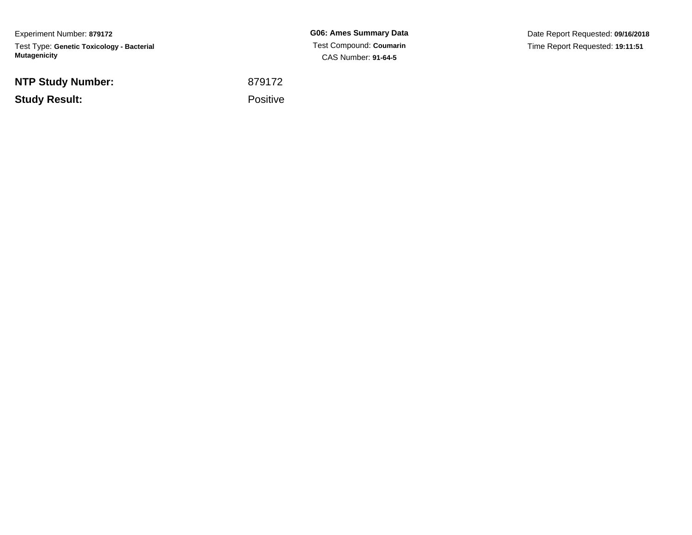Experiment Number: **879172**Test Type: **Genetic Toxicology - Bacterial Mutagenicity**

**NTP Study Number:**

**Study Result:**

**G06: Ames Summary Data** Test Compound: **Coumarin**CAS Number: **91-64-5**

Date Report Requested: **09/16/2018**Time Report Requested: **19:11:51**

 <sup>879172</sup>Positive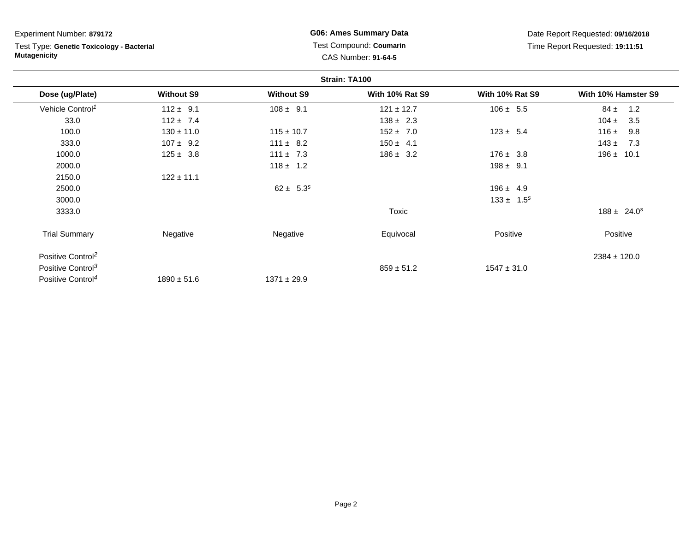#### Experiment Number: **879172**

Test Type: **Genetic Toxicology - Bacterial Mutagenicity**

### **G06: Ames Summary Data** Test Compound: **Coumarin**CAS Number: **91-64-5**

|                               |                   |                   | Strain: TA100          |                        |                     |
|-------------------------------|-------------------|-------------------|------------------------|------------------------|---------------------|
| Dose (ug/Plate)               | <b>Without S9</b> | <b>Without S9</b> | <b>With 10% Rat S9</b> | <b>With 10% Rat S9</b> | With 10% Hamster S9 |
| Vehicle Control <sup>1</sup>  | $112 \pm 9.1$     | $108 \pm 9.1$     | $121 \pm 12.7$         | $106 \pm 5.5$          | $84 \pm$<br>1.2     |
| 33.0                          | $112 \pm 7.4$     |                   | $138 \pm 2.3$          |                        | $104 \pm$<br>3.5    |
| 100.0                         | $130 \pm 11.0$    | $115 \pm 10.7$    | $152 \pm 7.0$          | $123 \pm 5.4$          | 116 $\pm$<br>9.8    |
| 333.0                         | $107 \pm 9.2$     | $111 \pm 8.2$     | $150 \pm 4.1$          |                        | $143 \pm$<br>7.3    |
| 1000.0                        | $125 \pm 3.8$     | $111 \pm 7.3$     | $186 \pm 3.2$          | $176 \pm 3.8$          | 196 $\pm$<br>10.1   |
| 2000.0                        |                   | $118 \pm 1.2$     |                        | $198 \pm 9.1$          |                     |
| 2150.0                        | $122 \pm 11.1$    |                   |                        |                        |                     |
| 2500.0                        |                   | $62 \pm 5.3^s$    |                        | $196 \pm 4.9$          |                     |
| 3000.0                        |                   |                   |                        | $133 \pm 1.5^s$        |                     |
| 3333.0                        |                   |                   | Toxic                  |                        | $188 \pm 24.0^s$    |
| <b>Trial Summary</b>          | Negative          | Negative          | Equivocal              | Positive               | Positive            |
| Positive Control <sup>2</sup> |                   |                   |                        |                        | $2384 \pm 120.0$    |
| Positive Control <sup>3</sup> |                   |                   | $859 \pm 51.2$         | $1547 \pm 31.0$        |                     |
| Positive Control <sup>4</sup> | $1890 \pm 51.6$   | $1371 \pm 29.9$   |                        |                        |                     |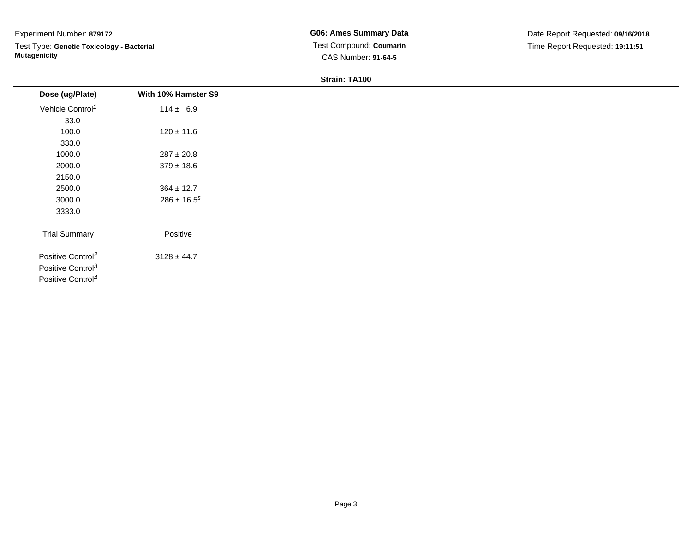# Experiment Number: **879172**

Test Type: **Genetic Toxicology - Bacterial Mutagenicity**

**G06: Ames Summary Data** Test Compound: **Coumarin**CAS Number: **91-64-5**

**Strain: TA100**

| Dose (ug/Plate)               | With 10% Hamster S9 |
|-------------------------------|---------------------|
| Vehicle Control <sup>1</sup>  | $114 \pm 6.9$       |
| 33.0                          |                     |
| 100.0                         | $120 \pm 11.6$      |
| 333.0                         |                     |
| 1000.0                        | $287 \pm 20.8$      |
| 2000.0                        | $379 \pm 18.6$      |
| 2150.0                        |                     |
| 2500.0                        | $364 \pm 12.7$      |
| 3000.0                        | $286 \pm 16.5^s$    |
| 3333.0                        |                     |
| <b>Trial Summary</b>          | Positive            |
| Positive Control <sup>2</sup> | $3128 \pm 44.7$     |
| Positive Control <sup>3</sup> |                     |
| Positive Control <sup>4</sup> |                     |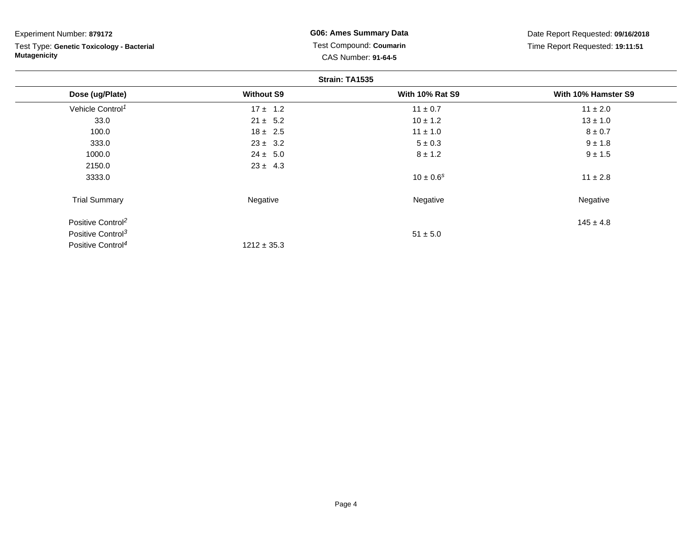| Experiment Number: 879172 |  |  |
|---------------------------|--|--|
|---------------------------|--|--|

Test Type: **Genetic Toxicology - Bacterial Mutagenicity**

**G06: Ames Summary Data** Test Compound: **Coumarin**CAS Number: **91-64-5**

| Strain: TA1535                |                   |                        |                     |
|-------------------------------|-------------------|------------------------|---------------------|
| Dose (ug/Plate)               | <b>Without S9</b> | <b>With 10% Rat S9</b> | With 10% Hamster S9 |
| Vehicle Control <sup>1</sup>  | $17 \pm 1.2$      | $11 \pm 0.7$           | $11 \pm 2.0$        |
| 33.0                          | $21 \pm 5.2$      | $10 \pm 1.2$           | $13 \pm 1.0$        |
| 100.0                         | $18 \pm 2.5$      | $11 \pm 1.0$           | $8 \pm 0.7$         |
| 333.0                         | $23 \pm 3.2$      | $5 \pm 0.3$            | $9 \pm 1.8$         |
| 1000.0                        | $24 \pm 5.0$      | $8 \pm 1.2$            | $9 \pm 1.5$         |
| 2150.0                        | $23 \pm 4.3$      |                        |                     |
| 3333.0                        |                   | $10 \pm 0.6^s$         | $11 \pm 2.8$        |
| <b>Trial Summary</b>          | Negative          | Negative               | Negative            |
| Positive Control <sup>2</sup> |                   |                        | $145 \pm 4.8$       |
| Positive Control <sup>3</sup> |                   | $51 \pm 5.0$           |                     |
| Positive Control <sup>4</sup> | $1212 \pm 35.3$   |                        |                     |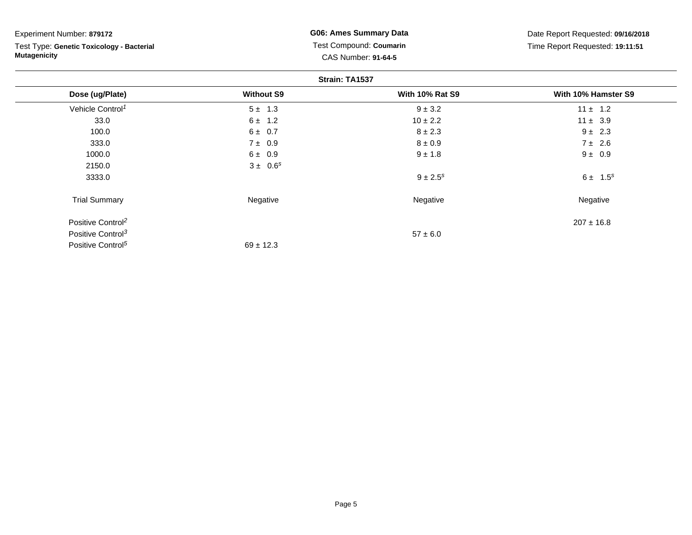Test Type: **Genetic Toxicology - Bacterial Mutagenicity**

**G06: Ames Summary Data** Test Compound: **Coumarin**CAS Number: **91-64-5**

|                               | Strain: TA1537    |                          |                     |  |
|-------------------------------|-------------------|--------------------------|---------------------|--|
| Dose (ug/Plate)               | <b>Without S9</b> | <b>With 10% Rat S9</b>   | With 10% Hamster S9 |  |
| Vehicle Control <sup>1</sup>  | $5 \pm 1.3$       | $9 \pm 3.2$              | $11 \pm 1.2$        |  |
| 33.0                          | $6 \pm 1.2$       | $10 \pm 2.2$             | $11 \pm 3.9$        |  |
| 100.0                         | $6 \pm 0.7$       | $8 \pm 2.3$              | $9 \pm 2.3$         |  |
| 333.0                         | 7 ± 0.9           | $8 \pm 0.9$              | $7 \pm 2.6$         |  |
| 1000.0                        | $6 \pm 0.9$       | $9 \pm 1.8$              | $9 \pm 0.9$         |  |
| 2150.0                        | $3 \pm 0.6^s$     |                          |                     |  |
| 3333.0                        |                   | $9 \pm 2.5$ <sup>s</sup> | $6 \pm 1.5^s$       |  |
| <b>Trial Summary</b>          | Negative          | Negative                 | Negative            |  |
| Positive Control <sup>2</sup> |                   |                          | $207 \pm 16.8$      |  |
| Positive Control <sup>3</sup> |                   | $57 \pm 6.0$             |                     |  |
| Positive Control <sup>5</sup> | $69 \pm 12.3$     |                          |                     |  |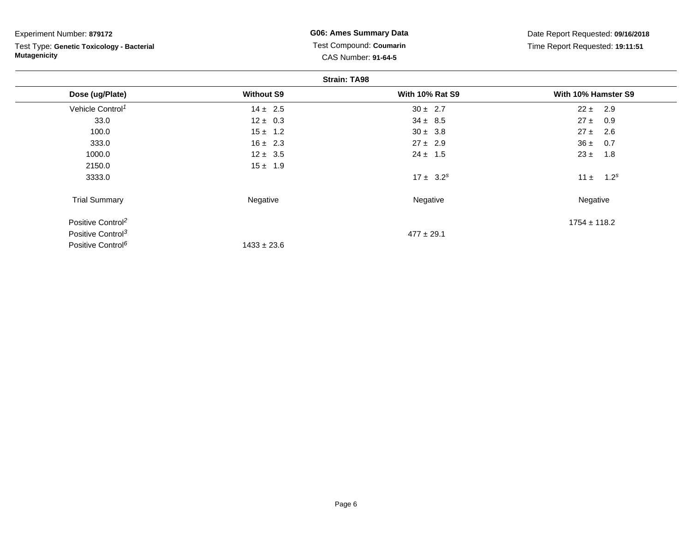| Experiment Number: 879172 |  |  |
|---------------------------|--|--|
|---------------------------|--|--|

Test Type: **Genetic Toxicology - Bacterial Mutagenicity**

**G06: Ames Summary Data** Test Compound: **Coumarin**CAS Number: **91-64-5**

| <b>Strain: TA98</b>           |                   |                        |                              |
|-------------------------------|-------------------|------------------------|------------------------------|
| Dose (ug/Plate)               | <b>Without S9</b> | <b>With 10% Rat S9</b> | With 10% Hamster S9          |
| Vehicle Control <sup>1</sup>  | $14 \pm 2.5$      | $30 \pm 2.7$           | $22 \pm 2.9$                 |
| 33.0                          | $12 \pm 0.3$      | $34 \pm 8.5$           | $27 \pm 0.9$                 |
| 100.0                         | $15 \pm 1.2$      | $30 \pm 3.8$           | 2.6<br>$27 \pm$              |
| 333.0                         | $16 \pm 2.3$      | $27 \pm 2.9$           | $36 \pm 0.7$                 |
| 1000.0                        | $12 \pm 3.5$      | $24 \pm 1.5$           | $23 \pm$<br>1.8              |
| 2150.0                        | $15 \pm 1.9$      |                        |                              |
| 3333.0                        |                   | $17 \pm 3.2^s$         | 1.2 <sup>s</sup><br>11 $\pm$ |
| <b>Trial Summary</b>          | Negative          | Negative               | Negative                     |
| Positive Control <sup>2</sup> |                   |                        | $1754 \pm 118.2$             |
| Positive Control <sup>3</sup> |                   | $477 \pm 29.1$         |                              |
| Positive Control <sup>6</sup> | $1433 \pm 23.6$   |                        |                              |